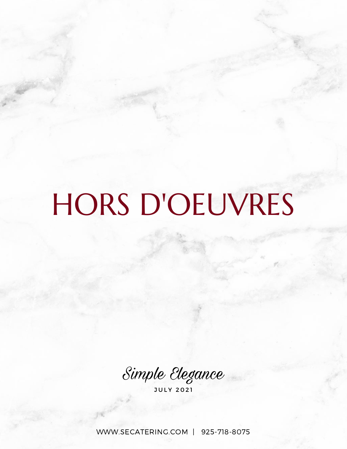# HORS D'OEUVRES

Simple Elegance

J U L Y 2 0 2 1

[WWW.SECATERING.COM](http://www.secatering.com/) | 925-718-8075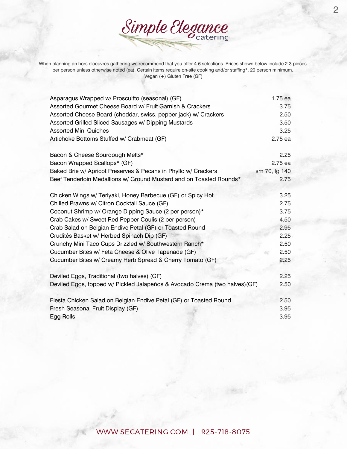When planning an hors d'oeuvres gathering we recommend that you offer 4-6 selections. Prices shown below include 2-3 pieces per person unless otherwise noted (ea). Certain items require on-site cooking and/or staffing\*. 20 person minimum. Vegan (+) Gluten Free (GF)

Simple Elegance

| Asparagus Wrapped w/ Proscuitto (seasonal) (GF)                             | 1.75 ea       |
|-----------------------------------------------------------------------------|---------------|
| Assorted Gourmet Cheese Board w/ Fruit Garnish & Crackers                   | 3.75          |
| Assorted Cheese Board (cheddar, swiss, pepper jack) w/ Crackers             | 2.50          |
| Assorted Grilled Sliced Sausages w/ Dipping Mustards                        | 3.50          |
| <b>Assorted Mini Quiches</b>                                                | 3.25          |
| Artichoke Bottoms Stuffed w/ Crabmeat (GF)                                  | 2.75 ea       |
| Bacon & Cheese Sourdough Melts*                                             | 2.25          |
| Bacon Wrapped Scallops* (GF)                                                | 2.75 ea       |
| Baked Brie w/ Apricot Preserves & Pecans in Phyllo w/ Crackers              | sm 70, lg 140 |
| Beef Tenderloin Medallions w/ Ground Mustard and on Toasted Rounds*         | 2.75          |
| Chicken Wings w/ Teriyaki, Honey Barbecue (GF) or Spicy Hot                 | 3.25          |
| Chilled Prawns w/ Citron Cocktail Sauce (GF)                                | 2.75          |
| Coconut Shrimp w/ Orange Dipping Sauce (2 per person)*                      | 3.75          |
| Crab Cakes w/ Sweet Red Pepper Coulis (2 per person)                        | 4.50          |
| Crab Salad on Belgian Endive Petal (GF) or Toasted Round                    | 2.95          |
| Crudités Basket w/ Herbed Spinach Dip (GF)                                  | 2.25          |
| Crunchy Mini Taco Cups Drizzled w/ Southwestern Ranch*                      | 2.50          |
| Cucumber Bites w/ Feta Cheese & Olive Tapenade (GF)                         | 2.50          |
| Cucumber Bites w/ Creamy Herb Spread & Cherry Tomato (GF)                   | 2.25          |
| Deviled Eggs, Traditional (two halves) (GF)                                 | 2.25          |
| Deviled Eggs, topped w/ Pickled Jalapeños & Avocado Crema (two halves) (GF) | 2.50          |
| Fiesta Chicken Salad on Belgian Endive Petal (GF) or Toasted Round          | 2.50          |
| Fresh Seasonal Fruit Display (GF)                                           | 3.95          |
| Egg Rolls                                                                   | 3.95          |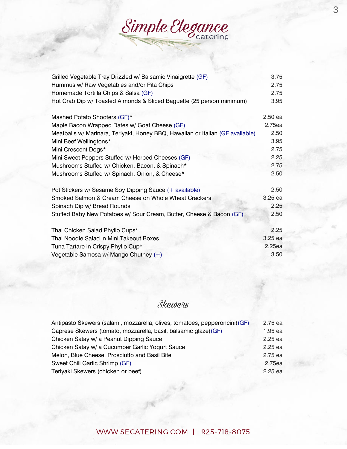Simple Elegance

| Grilled Vegetable Tray Drizzled w/ Balsamic Vinaigrette (GF)                   | 3.75    |
|--------------------------------------------------------------------------------|---------|
| Hummus w/ Raw Vegetables and/or Pita Chips                                     | 2.75    |
| Homemade Tortilla Chips & Salsa (GF)                                           | 2.75    |
| Hot Crab Dip w/ Toasted Almonds & Sliced Baguette (25 person minimum)          | 3.95    |
| Mashed Potato Shooters (GF)*                                                   | 2.50 ea |
| Maple Bacon Wrapped Dates w/ Goat Cheese (GF)                                  | 2.75ea  |
| Meatballs w/ Marinara, Teriyaki, Honey BBQ, Hawaiian or Italian (GF available) | 2.50    |
| Mini Beef Wellingtons*                                                         | 3.95    |
| Mini Crescent Dogs*                                                            | 2.75    |
| Mini Sweet Peppers Stuffed w/ Herbed Cheeses (GF)                              | 2.25    |
| Mushrooms Stuffed w/ Chicken, Bacon, & Spinach*                                | 2.75    |
| Mushrooms Stuffed w/ Spinach, Onion, & Cheese*                                 | 2.50    |
| Pot Stickers w/ Sesame Soy Dipping Sauce (+ available)                         | 2.50    |
| Smoked Salmon & Cream Cheese on Whole Wheat Crackers                           | 3.25 ea |
| Spinach Dip w/ Bread Rounds                                                    | 2.25    |
| Stuffed Baby New Potatoes w/ Sour Cream, Butter, Cheese & Bacon (GF)           | 2.50    |
| Thai Chicken Salad Phyllo Cups*                                                | 2.25    |
| Thai Noodle Salad in Mini Takeout Boxes                                        | 3.25 ea |
| Tuna Tartare in Crispy Phyllo Cup*                                             | 2.25ea  |
| Vegetable Samosa w/ Mango Chutney (+)                                          | 3.50    |
|                                                                                |         |

# Skewers

| Antipasto Skewers (salami, mozzarella, olives, tomatoes, pepperoncini) (GF) | 2.75 ea   |
|-----------------------------------------------------------------------------|-----------|
| Caprese Skewers (tomato, mozzarella, basil, balsamic glaze) (GF)            | 1.95 ea   |
| Chicken Satay w/ a Peanut Dipping Sauce                                     | $2.25$ ea |
| Chicken Satay w/ a Cucumber Garlic Yogurt Sauce                             | $2.25$ ea |
| Melon, Blue Cheese, Prosciutto and Basil Bite                               | 2.75 ea   |
| Sweet Chili Garlic Shrimp (GF)                                              | 2.75ea    |
| Teriyaki Skewers (chicken or beef)                                          | $2.25$ ea |
|                                                                             |           |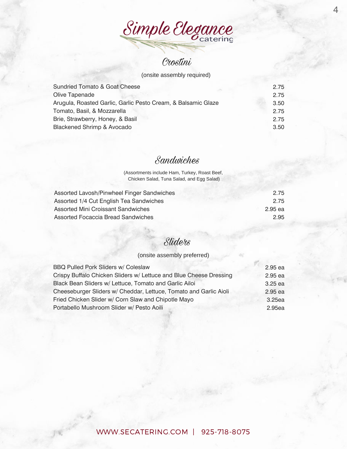

#### (onsite assembly required)

| <b>Sundried Tomato &amp; Goat Cheese</b>                      | 2.75 |
|---------------------------------------------------------------|------|
| Olive Tapenade                                                | 2.75 |
| Arugula, Roasted Garlic, Garlic Pesto Cream, & Balsamic Glaze | 3.50 |
| Tomato, Basil, & Mozzarella                                   | 2.75 |
| Brie, Strawberry, Honey, & Basil                              | 2.75 |
| Blackened Shrimp & Avocado                                    | 3.50 |

#### Sandwiches

(Assortments include Ham, Turkey, Roast Beef, Chicken Salad, Tuna Salad, and Egg Salad)

| 2.75    |
|---------|
| 2.75    |
| 2.95 ea |
| 2.95    |
|         |

### Sliders

#### (onsite assembly preferred)

| <b>BBQ Pulled Pork Sliders w/ Coleslaw</b>                         | 2.95 ea   |
|--------------------------------------------------------------------|-----------|
| Crispy Buffalo Chicken Sliders w/ Lettuce and Blue Cheese Dressing | 2.95 ea   |
| Black Bean Sliders w/ Lettuce, Tomato and Garlic Ailoi             | $3.25$ ea |
| Cheeseburger Sliders w/ Cheddar, Lettuce, Tomato and Garlic Aioli  | 2.95 ea   |
| Fried Chicken Slider w/ Corn Slaw and Chipotle Mayo                | 3.25ea    |
| Portabello Mushroom Slider w/ Pesto Aoili                          | 2.95ea    |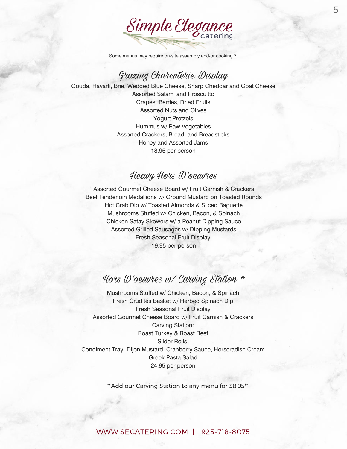

Some menus may require on-site assembly and/or cooking \*

#### Grazing Charcuterie Display

Gouda, Havarti, Brie, Wedged Blue Cheese, Sharp Cheddar and Goat Cheese Assorted Salami and Proscuitto Grapes, Berries, Dried Fruits Assorted Nuts and Olives Yogurt Pretzels Hummus w/ Raw Vegetables Assorted Crackers, Bread, and Breadsticks Honey and Assorted Jams 18.95 per person

#### Heavy Hors D'oeuvres

Assorted Gourmet Cheese Board w/ Fruit Garnish & Crackers Beef Tenderloin Medallions w/ Ground Mustard on Toasted Rounds Hot Crab Dip w/ Toasted Almonds & Sliced Baguette Mushrooms Stuffed w/ Chicken, Bacon, & Spinach Chicken Satay Skewers w/ a Peanut Dipping Sauce Assorted Grilled Sausages w/ Dipping Mustards Fresh Seasonal Fruit Display 19.95 per person

# Hors D'oeuvres w/ Carving Station \*

Mushrooms Stuffed w/ Chicken, Bacon, & Spinach Fresh Crudités Basket w/ Herbed Spinach Dip Fresh Seasonal Fruit Display Assorted Gourmet Cheese Board w/ Fruit Garnish & Crackers Carving Station: Roast Turkey & Roast Beef Slider Rolls Condiment Tray: Dijon Mustard, Cranberry Sauce, Horseradish Cream Greek Pasta Salad 24.95 per person

\*\*Add our Carving Station to any menu for \$8.95\*\*